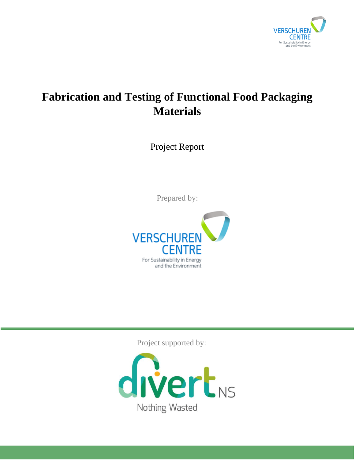

# **Fabrication and Testing of Functional Food Packaging Materials**

Project Report

Prepared by:



Project supported by:

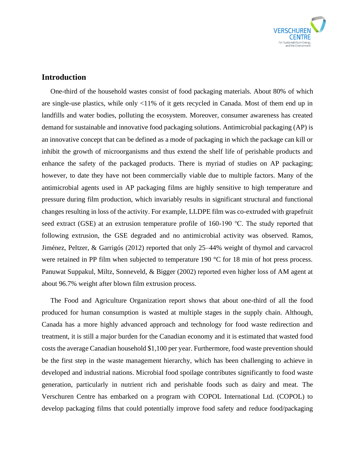

## **Introduction**

One-third of the household wastes consist of food packaging materials. About 80% of which are single-use plastics, while only <11% of it gets recycled in Canada. Most of them end up in landfills and water bodies, polluting the ecosystem. Moreover, consumer awareness has created demand for sustainable and innovative food packaging solutions. Antimicrobial packaging (AP) is an innovative concept that can be defined as a mode of packaging in which the package can kill or inhibit the growth of microorganisms and thus extend the shelf life of perishable products and enhance the safety of the packaged products. There is myriad of studies on AP packaging; however, to date they have not been commercially viable due to multiple factors. Many of the antimicrobial agents used in AP packaging films are highly sensitive to high temperature and pressure during film production, which invariably results in significant structural and functional changes resulting in loss of the activity. For example, LLDPE film was co-extruded with grapefruit seed extract (GSE) at an extrusion temperature profile of 160-190 ℃. The study reported that following extrusion, the GSE degraded and no antimicrobial activity was observed. Ramos, Jiménez, Peltzer, & Garrigós (2012) reported that only 25–44% weight of thymol and carvacrol were retained in PP film when subjected to temperature 190 °C for 18 min of hot press process. Panuwat Suppakul, Miltz, Sonneveld, & Bigger (2002) reported even higher loss of AM agent at about 96.7% weight after blown film extrusion process.

The Food and Agriculture Organization report shows that about one-third of all the food produced for human consumption is wasted at multiple stages in the supply chain. Although, Canada has a more highly advanced approach and technology for food waste redirection and treatment, it is still a major burden for the Canadian economy and it is estimated that wasted food costs the average Canadian household \$1,100 per year. Furthermore, food waste prevention should be the first step in the waste management hierarchy, which has been challenging to achieve in developed and industrial nations. Microbial food spoilage contributes significantly to food waste generation, particularly in nutrient rich and perishable foods such as dairy and meat. The Verschuren Centre has embarked on a program with COPOL International Ltd. (COPOL) to develop packaging films that could potentially improve food safety and reduce food/packaging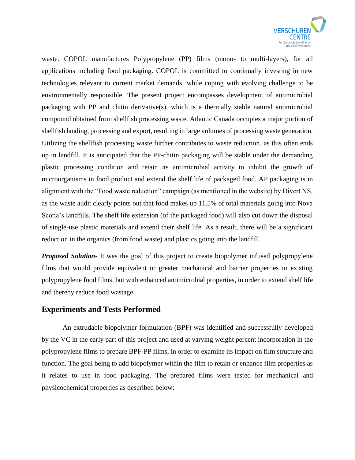

waste. COPOL manufactures Polypropylene (PP) films (mono- to multi-layers), for all applications including food packaging. COPOL is committed to continually investing in new technologies relevant to current market demands, while coping with evolving challenge to be environmentally responsible. The present project encompasses development of antimicrobial packaging with PP and chitin derivative(s), which is a thermally stable natural antimicrobial compound obtained from shellfish processing waste. Atlantic Canada occupies a major portion of shellfish landing, processing and export, resulting in large volumes of processing waste generation. Utilizing the shellfish processing waste further contributes to waste reduction, as this often ends up in landfill. It is anticipated that the PP-chitin packaging will be stable under the demanding plastic processing condition and retain its antimicrobial activity to inhibit the growth of microorganisms in food product and extend the shelf life of packaged food. AP packaging is in alignment with the "Food waste reduction" campaign (as mentioned in the website) by Divert NS, as the waste audit clearly points out that food makes up 11.5% of total materials going into Nova Scotia's landfills. The shelf life extension (of the packaged food) will also cut down the disposal of single-use plastic materials and extend their shelf life. As a result, there will be a significant reduction in the organics (from food waste) and plastics going into the landfill.

*Proposed Solution*- It was the goal of this project to create biopolymer infused polypropylene films that would provide equivalent or greater mechanical and barrier properties to existing polypropylene food films, but with enhanced antimicrobial properties, in order to extend shelf life and thereby reduce food wastage.

## **Experiments and Tests Performed**

An extrudable biopolymer formulation (BPF) was identified and successfully developed by the VC in the early part of this project and used at varying weight percent incorporation in the polypropylene films to prepare BPF-PP films, in order to examine its impact on film structure and function. The goal being to add biopolymer within the film to retain or enhance film properties as it relates to use in food packaging. The prepared films were tested for mechanical and physicochemical properties as described below: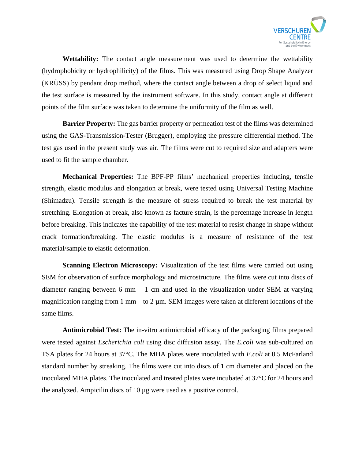

**Wettability:** The contact angle measurement was used to determine the wettability (hydrophobicity or hydrophilicity) of the films. This was measured using Drop Shape Analyzer (KRÜSS) by pendant drop method, where the contact angle between a drop of select liquid and the test surface is measured by the instrument software. In this study, contact angle at different points of the film surface was taken to determine the uniformity of the film as well.

**Barrier Property:** The gas barrier property or permeation test of the films was determined using the GAS-Transmission-Tester (Brugger), employing the pressure differential method. The test gas used in the present study was air. The films were cut to required size and adapters were used to fit the sample chamber.

**Mechanical Properties:** The BPF-PP films' mechanical properties including, tensile strength, elastic modulus and elongation at break, were tested using Universal Testing Machine (Shimadzu). Tensile strength is the measure of stress required to break the test material by stretching. Elongation at break, also known as facture strain, is the percentage increase in length before breaking. This indicates the capability of the test material to resist change in shape without crack formation/breaking. The elastic modulus is a measure of resistance of the test material/sample to elastic deformation.

**Scanning Electron Microscopy:** Visualization of the test films were carried out using SEM for observation of surface morphology and microstructure. The films were cut into discs of diameter ranging between 6 mm  $-1$  cm and used in the visualization under SEM at varying magnification ranging from 1 mm – to 2  $\mu$ m. SEM images were taken at different locations of the same films.

**Antimicrobial Test:** The in-vitro antimicrobial efficacy of the packaging films prepared were tested against *Escherichia coli* using disc diffusion assay. The *E.coli* was sub-cultured on TSA plates for 24 hours at 37°C. The MHA plates were inoculated with *E.coli* at 0.5 McFarland standard number by streaking. The films were cut into discs of 1 cm diameter and placed on the inoculated MHA plates. The inoculated and treated plates were incubated at 37°C for 24 hours and the analyzed. Ampicilin discs of 10 µg were used as a positive control.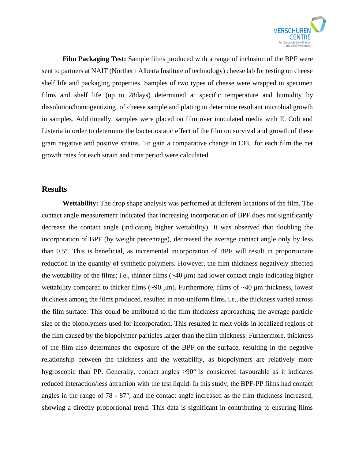

**Film Packaging Test:** Sample films produced with a range of inclusion of the BPF were sent to partners at NAIT (Northern Alberta Institute of technology) cheese lab for testing on cheese shelf life and packaging properties. Samples of two types of cheese were wrapped in specimen films and shelf life (up to 28days) determined at specific temperature and humidity by dissolution/homogentizing of cheese sample and plating to determine resultant microbial growth in samples. Additionally, samples were placed on film over inoculated media with E. Coli and Listeria in order to determine the bacteriostatic effect of the film on survival and growth of these gram negative and positive strains. To gain a comparative change in CFU for each film the net growth rates for each strain and time period were calculated.

### **Results**

**Wettability:** The drop shape analysis was performed at different locations of the film. The contact angle measurement indicated that increasing incorporation of BPF does not significantly decrease the contact angle (indicating higher wettability). It was observed that doubling the incorporation of BPF (by weight percentage), decreased the average contact angle only by less than 0.5°. This is beneficial, as incremental incorporation of BPF will result in proportionate reduction in the quantity of synthetic polymers. However, the film thickness negatively affected the wettability of the films; i.e., thinner films  $(\sim 40 \,\mu m)$  had lower contact angle indicating higher wettability compared to thicker films (~90 μm). Furthermore, films of ~40 μm thickness, lowest thickness among the films produced, resulted in non-uniform films, i.e., the thickness varied across the film surface. This could be attributed to the film thickness approaching the average particle size of the biopolymers used for incorporation. This resulted in melt voids in localized regions of the film caused by the biopolymer particles larger than the film thickness. Furthermore, thickness of the film also determines the exposure of the BPF on the surface, resulting in the negative relationship between the thickness and the wettability, as biopolymers are relatively more hygroscopic than PP. Generally, contact angles  $>90^{\circ}$  is considered favourable as it indicates reduced interaction/less attraction with the test liquid. In this study, the BPF-PP films had contact angles in the range of 78 - 87°, and the contact angle increased as the film thickness increased, showing a directly proportional trend. This data is significant in contributing to ensuring films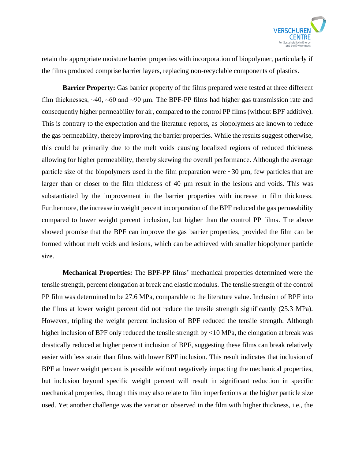

retain the appropriate moisture barrier properties with incorporation of biopolymer, particularly if the films produced comprise barrier layers, replacing non-recyclable components of plastics.

**Barrier Property:** Gas barrier property of the films prepared were tested at three different film thicknesses,  $\sim$ 40,  $\sim$ 60 and  $\sim$ 90 µm. The BPF-PP films had higher gas transmission rate and consequently higher permeability for air, compared to the control PP films (without BPF additive). This is contrary to the expectation and the literature reports, as biopolymers are known to reduce the gas permeability, thereby improving the barrier properties. While the results suggest otherwise, this could be primarily due to the melt voids causing localized regions of reduced thickness allowing for higher permeability, thereby skewing the overall performance. Although the average particle size of the biopolymers used in the film preparation were  $\sim 30$  µm, few particles that are larger than or closer to the film thickness of 40 µm result in the lesions and voids. This was substantiated by the improvement in the barrier properties with increase in film thickness. Furthermore, the increase in weight percent incorporation of the BPF reduced the gas permeability compared to lower weight percent inclusion, but higher than the control PP films. The above showed promise that the BPF can improve the gas barrier properties, provided the film can be formed without melt voids and lesions, which can be achieved with smaller biopolymer particle size.

**Mechanical Properties:** The BPF-PP films' mechanical properties determined were the tensile strength, percent elongation at break and elastic modulus. The tensile strength of the control PP film was determined to be 27.6 MPa, comparable to the literature value. Inclusion of BPF into the films at lower weight percent did not reduce the tensile strength significantly (25.3 MPa). However, tripling the weight percent inclusion of BPF reduced the tensile strength. Although higher inclusion of BPF only reduced the tensile strength by <10 MPa, the elongation at break was drastically reduced at higher percent inclusion of BPF, suggesting these films can break relatively easier with less strain than films with lower BPF inclusion. This result indicates that inclusion of BPF at lower weight percent is possible without negatively impacting the mechanical properties, but inclusion beyond specific weight percent will result in significant reduction in specific mechanical properties, though this may also relate to film imperfections at the higher particle size used. Yet another challenge was the variation observed in the film with higher thickness, i.e., the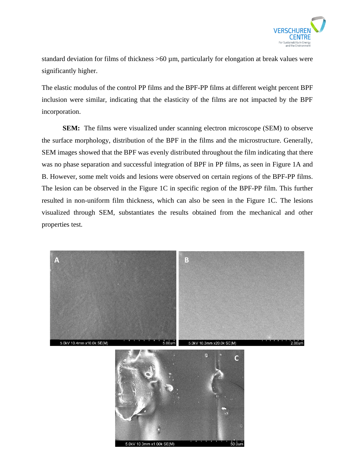

standard deviation for films of thickness  $>60 \mu$ m, particularly for elongation at break values were significantly higher.

The elastic modulus of the control PP films and the BPF-PP films at different weight percent BPF inclusion were similar, indicating that the elasticity of the films are not impacted by the BPF incorporation.

**SEM:** The films were visualized under scanning electron microscope (SEM) to observe the surface morphology, distribution of the BPF in the films and the microstructure. Generally, SEM images showed that the BPF was evenly distributed throughout the film indicating that there was no phase separation and successful integration of BPF in PP films, as seen in Figure 1A and B. However, some melt voids and lesions were observed on certain regions of the BPF-PP films. The lesion can be observed in the Figure 1C in specific region of the BPF-PP film. This further resulted in non-uniform film thickness, which can also be seen in the Figure 1C. The lesions visualized through SEM, substantiates the results obtained from the mechanical and other properties test.



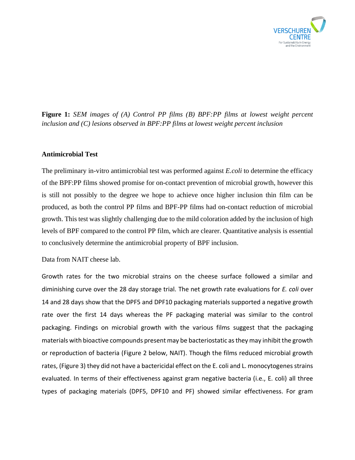

**Figure 1:** *SEM images of (A) Control PP films (B) BPF:PP films at lowest weight percent inclusion and (C) lesions observed in BPF:PP films at lowest weight percent inclusion*

#### **Antimicrobial Test**

The preliminary in-vitro antimicrobial test was performed against *E.coli* to determine the efficacy of the BPF:PP films showed promise for on-contact prevention of microbial growth, however this is still not possibly to the degree we hope to achieve once higher inclusion thin film can be produced, as both the control PP films and BPF-PP films had on-contact reduction of microbial growth. This test was slightly challenging due to the mild coloration added by the inclusion of high levels of BPF compared to the control PP film, which are clearer. Quantitative analysis is essential to conclusively determine the antimicrobial property of BPF inclusion.

Data from NAIT cheese lab.

Growth rates for the two microbial strains on the cheese surface followed a similar and diminishing curve over the 28 day storage trial. The net growth rate evaluations for *E. coli* over 14 and 28 days show that the DPF5 and DPF10 packaging materials supported a negative growth rate over the first 14 days whereas the PF packaging material was similar to the control packaging. Findings on microbial growth with the various films suggest that the packaging materials with bioactive compounds present may be bacteriostatic as they may inhibit the growth or reproduction of bacteria (Figure 2 below, NAIT). Though the films reduced microbial growth rates, (Figure 3) they did not have a bactericidal effect on the E. coli and L. monocytogenes strains evaluated. In terms of their effectiveness against gram negative bacteria (i.e., E. coli) all three types of packaging materials (DPF5, DPF10 and PF) showed similar effectiveness. For gram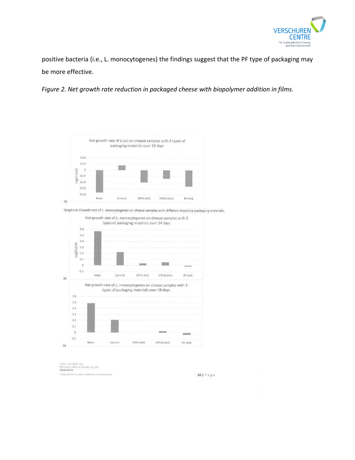

positive bacteria (i.e., L. monocytogenes) the findings suggest that the PF type of packaging may be more effective.

*Figure 2. Net growth rate reduction in packaged cheese with biopolymer addition in films.*



Graphs 4: Growth rate of L. manocytogenes on cheese samples with different bioactive packaging materials.



ngós - soó Sovel nav.<br>Edmonton, Alberia, Canada, 155 201.<br>**www.nait.ca**  $\label{eq:convergence} \begin{minipage}{0.9\linewidth} \textbf{A LIRG} \textbf{P} \textbf{G} \textbf{D} \textbf{A} \textbf{Y} \textbf{Y} \textbf{B} \textbf{D} \textbf{B} \textbf{B} \textbf{C} \textbf{D} \textbf{C} \textbf{W} \textbf{D} \textbf{A} \textbf{B} \textbf{B} \textbf{B} \textbf{D} \textbf{D} \textbf{A} \textbf{C} \textbf{D} \textbf{A} \textbf{B} \textbf{B} \textbf{B} \textbf{D} \textbf{A} \textbf{D} \textbf{$ 

10 | P a g e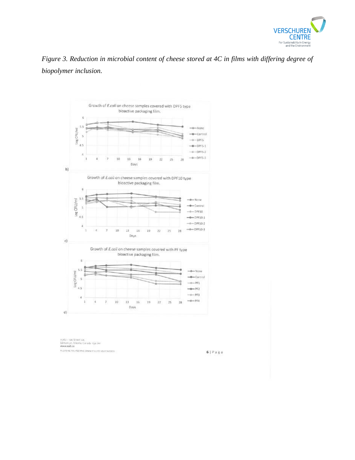

*Figure 3. Reduction in microbial content of cheese stored at 4C in films with differing degree of biopolymer inclusion.*



11763 - 106 Scrett vw.<br>Edmonton, Alberta, Canada 156 291<br>Www.mail.ca A LEASING POLYTECHNIC COMMITTED TO VOUR SUCCESS.

 $6 | P a g e$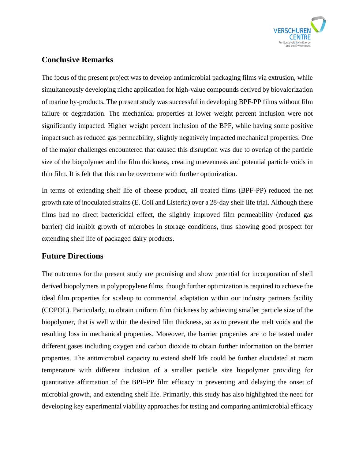

# **Conclusive Remarks**

The focus of the present project was to develop antimicrobial packaging films via extrusion, while simultaneously developing niche application for high-value compounds derived by biovalorization of marine by-products. The present study was successful in developing BPF-PP films without film failure or degradation. The mechanical properties at lower weight percent inclusion were not significantly impacted. Higher weight percent inclusion of the BPF, while having some positive impact such as reduced gas permeability, slightly negatively impacted mechanical properties. One of the major challenges encountered that caused this disruption was due to overlap of the particle size of the biopolymer and the film thickness, creating unevenness and potential particle voids in thin film. It is felt that this can be overcome with further optimization.

In terms of extending shelf life of cheese product, all treated films (BPF-PP) reduced the net growth rate of inoculated strains (E. Coli and Listeria) over a 28-day shelf life trial. Although these films had no direct bactericidal effect, the slightly improved film permeability (reduced gas barrier) did inhibit growth of microbes in storage conditions, thus showing good prospect for extending shelf life of packaged dairy products.

# **Future Directions**

The outcomes for the present study are promising and show potential for incorporation of shell derived biopolymers in polypropylene films, though further optimization is required to achieve the ideal film properties for scaleup to commercial adaptation within our industry partners facility (COPOL). Particularly, to obtain uniform film thickness by achieving smaller particle size of the biopolymer, that is well within the desired film thickness, so as to prevent the melt voids and the resulting loss in mechanical properties. Moreover, the barrier properties are to be tested under different gases including oxygen and carbon dioxide to obtain further information on the barrier properties. The antimicrobial capacity to extend shelf life could be further elucidated at room temperature with different inclusion of a smaller particle size biopolymer providing for quantitative affirmation of the BPF-PP film efficacy in preventing and delaying the onset of microbial growth, and extending shelf life. Primarily, this study has also highlighted the need for developing key experimental viability approaches for testing and comparing antimicrobial efficacy